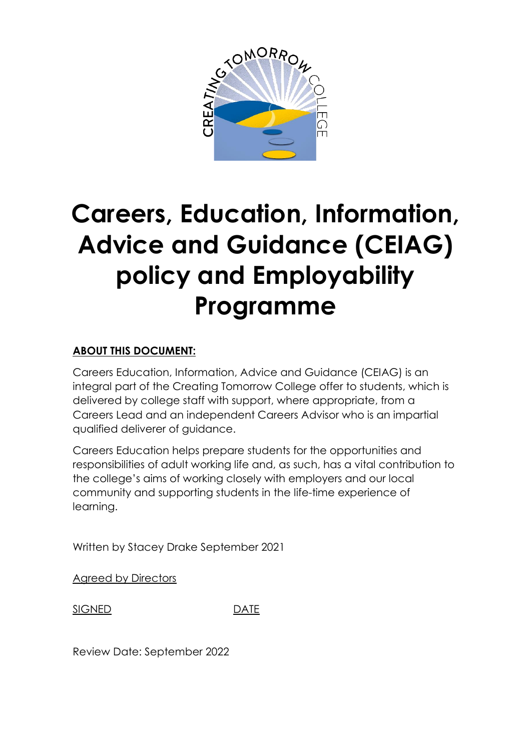

# **Careers, Education, Information, Advice and Guidance (CEIAG) policy and Employability Programme**

# **ABOUT THIS DOCUMENT:**

Careers Education, Information, Advice and Guidance (CEIAG) is an integral part of the Creating Tomorrow College offer to students, which is delivered by college staff with support, where appropriate, from a Careers Lead and an independent Careers Advisor who is an impartial qualified deliverer of guidance.

Careers Education helps prepare students for the opportunities and responsibilities of adult working life and, as such, has a vital contribution to the college's aims of working closely with employers and our local community and supporting students in the life-time experience of learning.

Written by Stacey Drake September 2021

Agreed by Directors

SIGNED DATE

Review Date: September 2022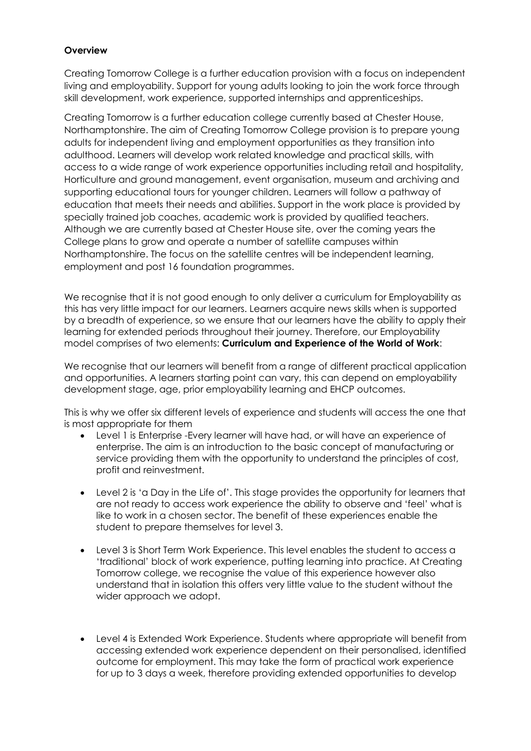#### **Overview**

Creating Tomorrow College is a further education provision with a focus on independent living and employability. Support for young adults looking to join the work force through skill development, work experience, supported internships and apprenticeships.

Creating Tomorrow is a further education college currently based at Chester House, Northamptonshire. The aim of Creating Tomorrow College provision is to prepare young adults for independent living and employment opportunities as they transition into adulthood. Learners will develop work related knowledge and practical skills, with access to a wide range of work experience opportunities including retail and hospitality, Horticulture and ground management, event organisation, museum and archiving and supporting educational tours for younger children. Learners will follow a pathway of education that meets their needs and abilities. Support in the work place is provided by specially trained job coaches, academic work is provided by qualified teachers. Although we are currently based at Chester House site, over the coming years the College plans to grow and operate a number of satellite campuses within Northamptonshire. The focus on the satellite centres will be independent learning, employment and post 16 foundation programmes.

We recognise that it is not good enough to only deliver a curriculum for Employability as this has very little impact for our learners. Learners acquire news skills when is supported by a breadth of experience, so we ensure that our learners have the ability to apply their learning for extended periods throughout their journey. Therefore, our Employability model comprises of two elements: **Curriculum and Experience of the World of Work**:

We recognise that our learners will benefit from a range of different practical application and opportunities. A learners starting point can vary, this can depend on employability development stage, age, prior employability learning and EHCP outcomes.

This is why we offer six different levels of experience and students will access the one that is most appropriate for them

- Level 1 is Enterprise -Every learner will have had, or will have an experience of enterprise. The aim is an introduction to the basic concept of manufacturing or service providing them with the opportunity to understand the principles of cost, profit and reinvestment.
- Level 2 is 'a Day in the Life of'. This stage provides the opportunity for learners that are not ready to access work experience the ability to observe and 'feel' what is like to work in a chosen sector. The benefit of these experiences enable the student to prepare themselves for level 3.
- Level 3 is Short Term Work Experience. This level enables the student to access a 'traditional' block of work experience, putting learning into practice. At Creating Tomorrow college, we recognise the value of this experience however also understand that in isolation this offers very little value to the student without the wider approach we adopt.
- Level 4 is Extended Work Experience. Students where appropriate will benefit from accessing extended work experience dependent on their personalised, identified outcome for employment. This may take the form of practical work experience for up to 3 days a week, therefore providing extended opportunities to develop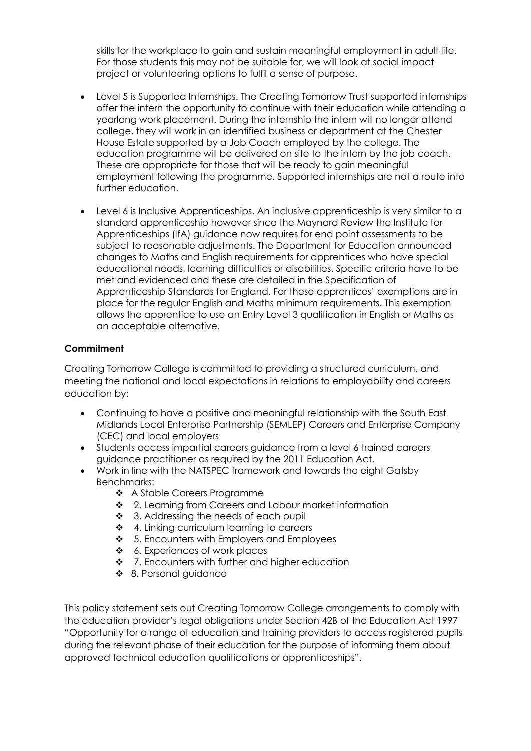skills for the workplace to gain and sustain meaningful employment in adult life. For those students this may not be suitable for, we will look at social impact project or volunteering options to fulfil a sense of purpose.

- Level 5 is Supported Internships. The Creating Tomorrow Trust supported internships offer the intern the opportunity to continue with their education while attending a yearlong work placement. During the internship the intern will no longer attend college, they will work in an identified business or department at the Chester House Estate supported by a Job Coach employed by the college. The education programme will be delivered on site to the intern by the job coach. These are appropriate for those that will be ready to gain meaningful employment following the programme. Supported internships are not a route into further education.
- Level 6 is Inclusive Apprenticeships. An inclusive apprenticeship is very similar to a standard apprenticeship however since the Maynard Review the Institute for Apprenticeships (IfA) guidance now requires for end point assessments to be subject to reasonable adjustments. The Department for Education announced changes to Maths and English requirements for apprentices who have special educational needs, learning difficulties or disabilities. Specific criteria have to be met and evidenced and these are detailed in the Specification of Apprenticeship Standards for England. For these apprentices' exemptions are in place for the regular English and Maths minimum requirements. This exemption allows the apprentice to use an Entry Level 3 qualification in English or Maths as an acceptable alternative.

# **Commitment**

Creating Tomorrow College is committed to providing a structured curriculum, and meeting the national and local expectations in relations to employability and careers education by:

- Continuing to have a positive and meaningful relationship with the South East Midlands Local Enterprise Partnership (SEMLEP) Careers and Enterprise Company (CEC) and local employers
- Students access impartial careers guidance from a level 6 trained careers guidance practitioner as required by the 2011 Education Act.
- Work in line with the NATSPEC framework and towards the eight Gatsby Benchmarks:
	- ❖ A Stable Careers Programme
	- ◆ 2. Learning from Careers and Labour market information
	- ❖ 3. Addressing the needs of each pupil
	- **↑** 4. Linking curriculum learning to careers
	- $\div$  5. Encounters with Employers and Employees
	- ❖ 6. Experiences of work places
	- $\div$  7. Encounters with further and higher education
	- ❖ 8. Personal guidance

This policy statement sets out Creating Tomorrow College arrangements to comply with the education provider's legal obligations under Section 42B of the Education Act 1997 "Opportunity for a range of education and training providers to access registered pupils during the relevant phase of their education for the purpose of informing them about approved technical education qualifications or apprenticeships".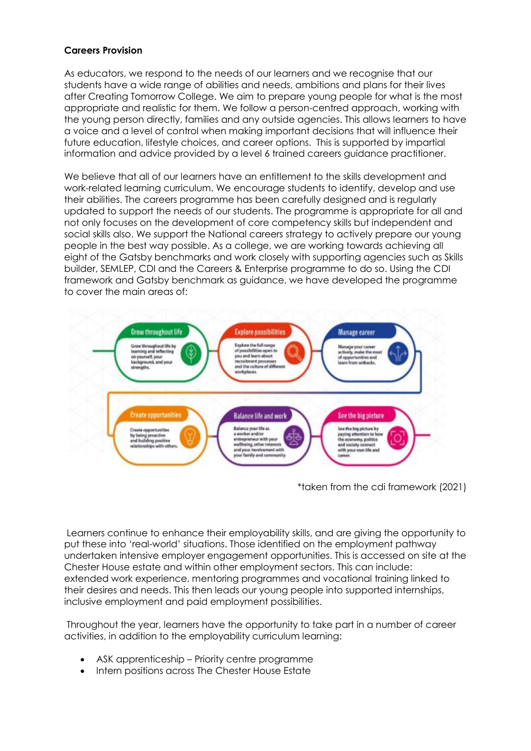#### **Careers Provision**

As educators, we respond to the needs of our learners and we recognise that our students have a wide range of abilities and needs, ambitions and plans for their lives after Creating Tomorrow College. We aim to prepare young people for what is the most appropriate and realistic for them. We follow a person-centred approach, working with the young person directly, families and any outside agencies. This allows learners to have a voice and a level of control when making important decisions that will influence their future education, lifestyle choices, and career options. This is supported by impartial information and advice provided by a level 6 trained careers guidance practitioner.

We believe that all of our learners have an entitlement to the skills development and work-related learning curriculum. We encourage students to identify, develop and use their abilities. The careers programme has been carefully designed and is regularly updated to support the needs of our students. The programme is appropriate for all and not only focuses on the development of core competency skills but independent and social skills also. We support the National careers strategy to actively prepare our young people in the best way possible. As a college, we are working towards achieving all eight of the Gatsby benchmarks and work closely with supporting agencies such as Skills builder, SEMLEP, CDI and the Careers & Enterprise programme to do so. Using the CDI framework and Gatsby benchmark as guidance, we have developed the programme to cover the main areas of:



\*taken from the cdi framework (2021)

Learners continue to enhance their employability skills, and are giving the opportunity to put these into 'real-world' situations. Those identified on the employment pathway undertaken intensive employer engagement opportunities. This is accessed on site at the Chester House estate and within other employment sectors. This can include: extended work experience, mentoring programmes and vocational training linked to their desires and needs. This then leads our young people into supported internships, inclusive employment and paid employment possibilities.

Throughout the year, learners have the opportunity to take part in a number of career activities, in addition to the employability curriculum learning:

- ASK apprenticeship Priority centre programme
- Intern positions across The Chester House Estate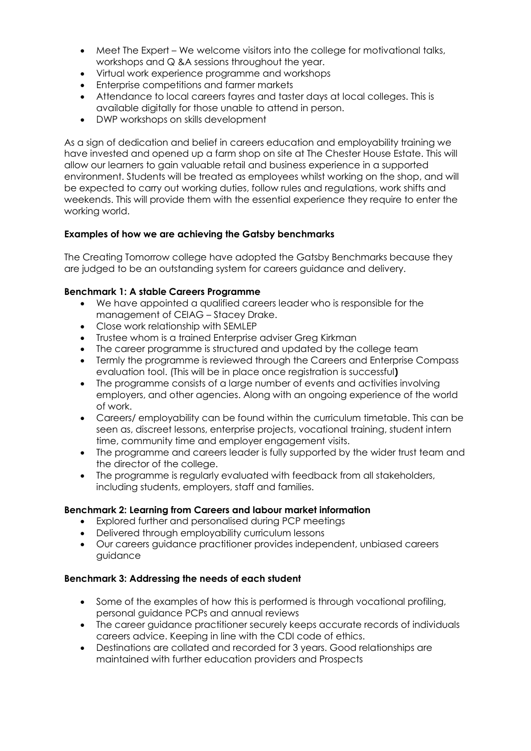- Meet The Expert We welcome visitors into the college for motivational talks, workshops and Q &A sessions throughout the year.
- Virtual work experience programme and workshops
- **•** Enterprise competitions and farmer markets
- Attendance to local careers fayres and taster days at local colleges. This is available digitally for those unable to attend in person.
- DWP workshops on skills development

As a sign of dedication and belief in careers education and employability training we have invested and opened up a farm shop on site at The Chester House Estate. This will allow our learners to gain valuable retail and business experience in a supported environment. Students will be treated as employees whilst working on the shop, and will be expected to carry out working duties, follow rules and regulations, work shifts and weekends. This will provide them with the essential experience they require to enter the working world.

# **Examples of how we are achieving the Gatsby benchmarks**

The Creating Tomorrow college have adopted the Gatsby Benchmarks because they are judged to be an outstanding system for careers guidance and delivery.

# **Benchmark 1: A stable Careers Programme**

- We have appointed a qualified careers leader who is responsible for the management of CEIAG – Stacey Drake.
- Close work relationship with SEMLEP
- Trustee whom is a trained Enterprise adviser Greg Kirkman
- The career programme is structured and updated by the college team
- Termly the programme is reviewed through the Careers and Enterprise Compass evaluation tool. (This will be in place once registration is successful**)**
- The programme consists of a large number of events and activities involving employers, and other agencies. Along with an ongoing experience of the world of work.
- Careers/ employability can be found within the curriculum timetable. This can be seen as, discreet lessons, enterprise projects, vocational training, student intern time, community time and employer engagement visits.
- The programme and careers leader is fully supported by the wider trust team and the director of the college.
- The programme is regularly evaluated with feedback from all stakeholders, including students, employers, staff and families.

#### **Benchmark 2: Learning from Careers and labour market information**

- Explored further and personalised during PCP meetings
- Delivered through employability curriculum lessons
- Our careers guidance practitioner provides independent, unbiased careers guidance

#### **Benchmark 3: Addressing the needs of each student**

- Some of the examples of how this is performed is through vocational profiling, personal guidance PCPs and annual reviews
- The career guidance practitioner securely keeps accurate records of individuals careers advice. Keeping in line with the CDI code of ethics.
- Destinations are collated and recorded for 3 years. Good relationships are maintained with further education providers and Prospects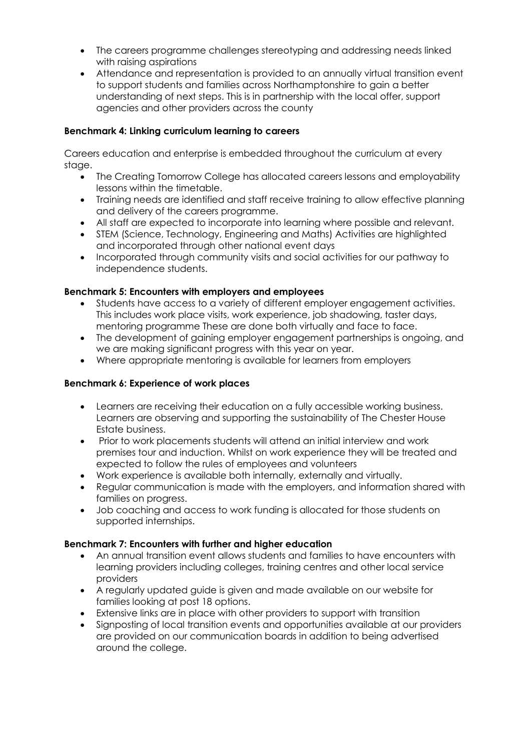- The careers programme challenges stereotyping and addressing needs linked with raising aspirations
- Attendance and representation is provided to an annually virtual transition event to support students and families across Northamptonshire to gain a better understanding of next steps. This is in partnership with the local offer, support agencies and other providers across the county

# **Benchmark 4: Linking curriculum learning to careers**

Careers education and enterprise is embedded throughout the curriculum at every stage.

- The Creating Tomorrow College has allocated careers lessons and employability lessons within the timetable.
- Training needs are identified and staff receive training to allow effective planning and delivery of the careers programme.
- All staff are expected to incorporate into learning where possible and relevant.
- STEM (Science, Technology, Engineering and Maths) Activities are highlighted and incorporated through other national event days
- Incorporated through community visits and social activities for our pathway to independence students.

#### **Benchmark 5: Encounters with employers and employees**

- Students have access to a variety of different employer engagement activities. This includes work place visits, work experience, job shadowing, taster days, mentoring programme These are done both virtually and face to face.
- The development of gaining employer engagement partnerships is ongoing, and we are making significant progress with this year on year.
- Where appropriate mentoring is available for learners from employers

#### **Benchmark 6: Experience of work places**

- Learners are receiving their education on a fully accessible working business. Learners are observing and supporting the sustainability of The Chester House Estate business.
- Prior to work placements students will attend an initial interview and work premises tour and induction. Whilst on work experience they will be treated and expected to follow the rules of employees and volunteers
- Work experience is available both internally, externally and virtually.
- Regular communication is made with the employers, and information shared with families on progress.
- Job coaching and access to work funding is allocated for those students on supported internships.

#### **Benchmark 7: Encounters with further and higher education**

- An annual transition event allows students and families to have encounters with learning providers including colleges, training centres and other local service providers
- A regularly updated guide is given and made available on our website for families looking at post 18 options.
- Extensive links are in place with other providers to support with transition
- Signposting of local transition events and opportunities available at our providers are provided on our communication boards in addition to being advertised around the college.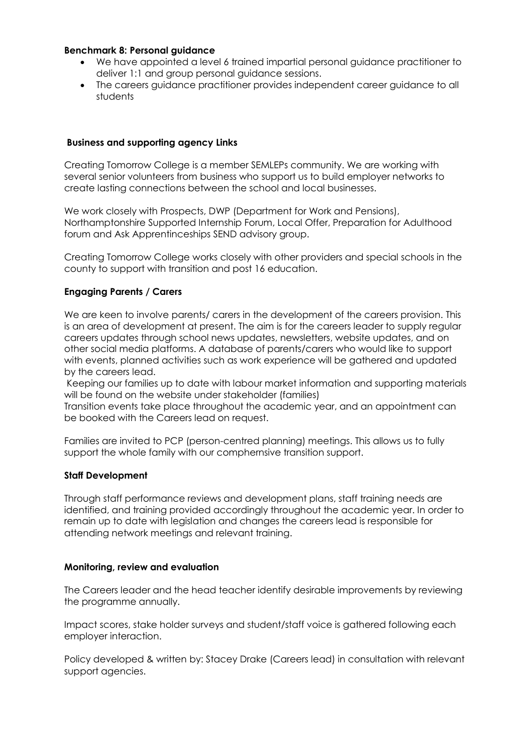#### **Benchmark 8: Personal guidance**

- We have appointed a level 6 trained impartial personal guidance practitioner to deliver 1:1 and group personal guidance sessions.
- The careers guidance practitioner provides independent career guidance to all students

#### **Business and supporting agency Links**

Creating Tomorrow College is a member SEMLEPs community. We are working with several senior volunteers from business who support us to build employer networks to create lasting connections between the school and local businesses.

We work closely with Prospects, DWP (Department for Work and Pensions), Northamptonshire Supported Internship Forum, Local Offer, Preparation for Adulthood forum and Ask Apprentinceships SEND advisory group.

Creating Tomorrow College works closely with other providers and special schools in the county to support with transition and post 16 education.

#### **Engaging Parents / Carers**

We are keen to involve parents/ carers in the development of the careers provision. This is an area of development at present. The aim is for the careers leader to supply regular careers updates through school news updates, newsletters, website updates, and on other social media platforms. A database of parents/carers who would like to support with events, planned activities such as work experience will be gathered and updated by the careers lead.

Keeping our families up to date with labour market information and supporting materials will be found on the website under stakeholder (families)

Transition events take place throughout the academic year, and an appointment can be booked with the Careers lead on request.

Families are invited to PCP (person-centred planning) meetings. This allows us to fully support the whole family with our comphernsive transition support.

#### **Staff Development**

Through staff performance reviews and development plans, staff training needs are identified, and training provided accordingly throughout the academic year. In order to remain up to date with legislation and changes the careers lead is responsible for attending network meetings and relevant training.

#### **Monitoring, review and evaluation**

The Careers leader and the head teacher identify desirable improvements by reviewing the programme annually.

Impact scores, stake holder surveys and student/staff voice is gathered following each employer interaction.

Policy developed & written by: Stacey Drake (Careers lead) in consultation with relevant support agencies.